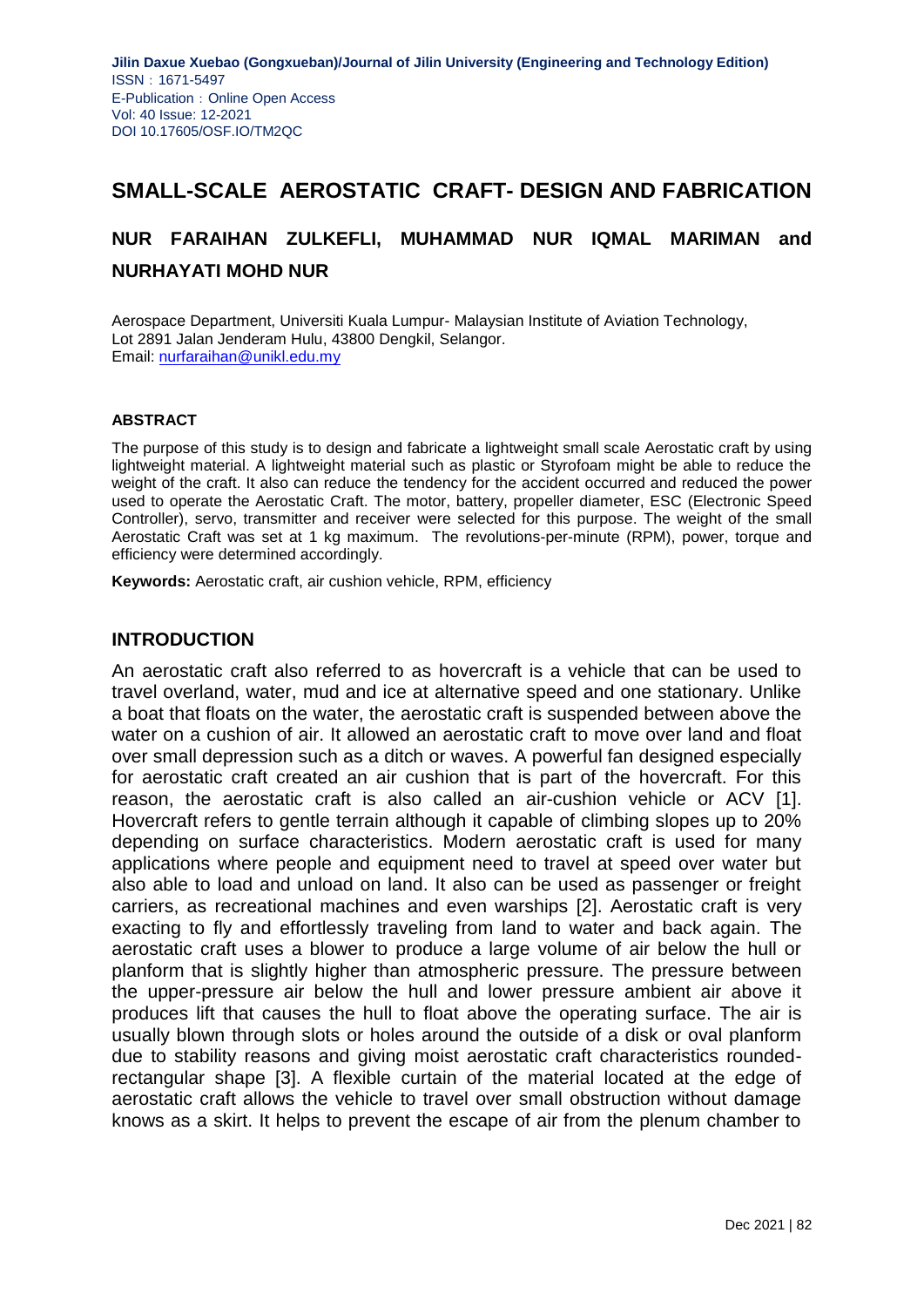# **SMALL-SCALE AEROSTATIC CRAFT- DESIGN AND FABRICATION**

# **NUR FARAIHAN ZULKEFLI, MUHAMMAD NUR IQMAL MARIMAN and NURHAYATI MOHD NUR**

Aerospace Department, Universiti Kuala Lumpur- Malaysian Institute of Aviation Technology, Lot 2891 Jalan Jenderam Hulu, 43800 Dengkil, Selangor. Email: [nurfaraihan@unikl.edu.my](mailto:nurfaraihan@unikl.edu.my)

#### **ABSTRACT**

The purpose of this study is to design and fabricate a lightweight small scale Aerostatic craft by using lightweight material. A lightweight material such as plastic or Styrofoam might be able to reduce the weight of the craft. It also can reduce the tendency for the accident occurred and reduced the power used to operate the Aerostatic Craft. The motor, battery, propeller diameter, ESC (Electronic Speed Controller), servo, transmitter and receiver were selected for this purpose. The weight of the small Aerostatic Craft was set at 1 kg maximum. The revolutions-per-minute (RPM), power, torque and efficiency were determined accordingly.

**Keywords:** Aerostatic craft, air cushion vehicle, RPM, efficiency

#### **INTRODUCTION**

An aerostatic craft also referred to as hovercraft is a vehicle that can be used to travel overland, water, mud and ice at alternative speed and one stationary. Unlike a boat that floats on the water, the aerostatic craft is suspended between above the water on a cushion of air. It allowed an aerostatic craft to move over land and float over small depression such as a ditch or waves. A powerful fan designed especially for aerostatic craft created an air cushion that is part of the hovercraft. For this reason, the aerostatic craft is also called an air-cushion vehicle or ACV [1]. Hovercraft refers to gentle terrain although it capable of climbing slopes up to 20% depending on surface characteristics. Modern aerostatic craft is used for many applications where people and equipment need to travel at speed over water but also able to load and unload on land. It also can be used as passenger or freight carriers, as recreational machines and even warships [2]. Aerostatic craft is very exacting to fly and effortlessly traveling from land to water and back again. The aerostatic craft uses a blower to produce a large volume of air below the hull or planform that is slightly higher than atmospheric pressure. The pressure between the upper-pressure air below the hull and lower pressure ambient air above it produces lift that causes the hull to float above the operating surface. The air is usually blown through slots or holes around the outside of a disk or oval planform due to stability reasons and giving moist aerostatic craft characteristics roundedrectangular shape [3]. A flexible curtain of the material located at the edge of aerostatic craft allows the vehicle to travel over small obstruction without damage knows as a skirt. It helps to prevent the escape of air from the plenum chamber to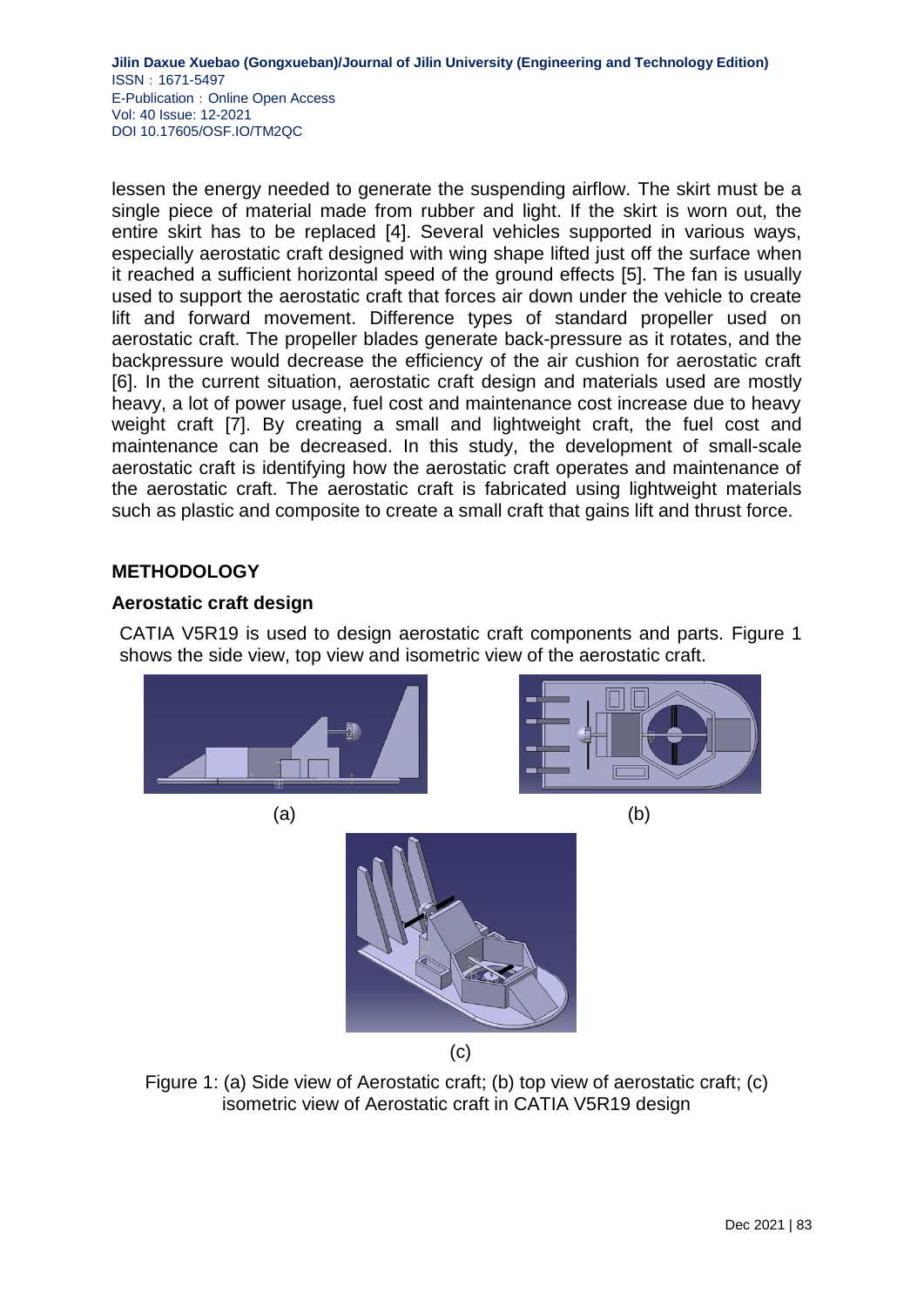lessen the energy needed to generate the suspending airflow. The skirt must be a single piece of material made from rubber and light. If the skirt is worn out, the entire skirt has to be replaced [4]. Several vehicles supported in various ways, especially aerostatic craft designed with wing shape lifted just off the surface when it reached a sufficient horizontal speed of the ground effects [5]. The fan is usually used to support the aerostatic craft that forces air down under the vehicle to create lift and forward movement. Difference types of standard propeller used on aerostatic craft. The propeller blades generate back-pressure as it rotates, and the backpressure would decrease the efficiency of the air cushion for aerostatic craft [6]. In the current situation, aerostatic craft design and materials used are mostly heavy, a lot of power usage, fuel cost and maintenance cost increase due to heavy weight craft [7]. By creating a small and lightweight craft, the fuel cost and maintenance can be decreased. In this study, the development of small-scale aerostatic craft is identifying how the aerostatic craft operates and maintenance of the aerostatic craft. The aerostatic craft is fabricated using lightweight materials such as plastic and composite to create a small craft that gains lift and thrust force.

# **METHODOLOGY**

## **Aerostatic craft design**

CATIA V5R19 is used to design aerostatic craft components and parts. Figure 1 shows the side view, top view and isometric view of the aerostatic craft.



Figure 1: (a) Side view of Aerostatic craft; (b) top view of aerostatic craft; (c) isometric view of Aerostatic craft in CATIA V5R19 design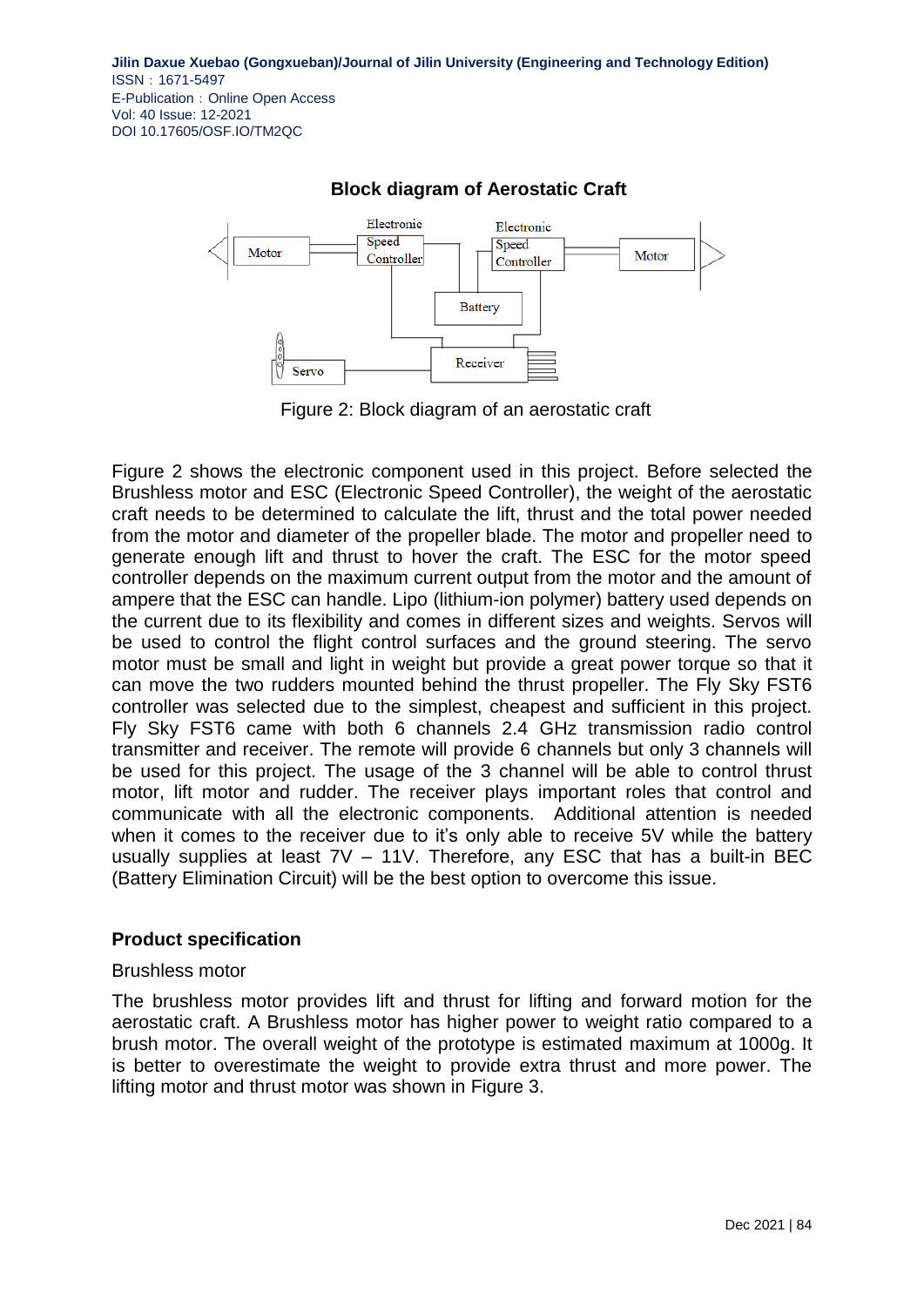

# **Block diagram of Aerostatic Craft**

Figure 2: Block diagram of an aerostatic craft

Figure 2 shows the electronic component used in this project. Before selected the Brushless motor and ESC (Electronic Speed Controller), the weight of the aerostatic craft needs to be determined to calculate the lift, thrust and the total power needed from the motor and diameter of the propeller blade. The motor and propeller need to generate enough lift and thrust to hover the craft. The ESC for the motor speed controller depends on the maximum current output from the motor and the amount of ampere that the ESC can handle. Lipo (lithium-ion polymer) battery used depends on the current due to its flexibility and comes in different sizes and weights. Servos will be used to control the flight control surfaces and the ground steering. The servo motor must be small and light in weight but provide a great power torque so that it can move the two rudders mounted behind the thrust propeller. The Fly Sky FST6 controller was selected due to the simplest, cheapest and sufficient in this project. Fly Sky FST6 came with both 6 channels 2.4 GHz transmission radio control transmitter and receiver. The remote will provide 6 channels but only 3 channels will be used for this project. The usage of the 3 channel will be able to control thrust motor, lift motor and rudder. The receiver plays important roles that control and communicate with all the electronic components. Additional attention is needed when it comes to the receiver due to it's only able to receive 5V while the battery usually supplies at least 7V – 11V. Therefore, any ESC that has a built-in BEC (Battery Elimination Circuit) will be the best option to overcome this issue.

## **Product specification**

#### Brushless motor

The brushless motor provides lift and thrust for lifting and forward motion for the aerostatic craft. A Brushless motor has higher power to weight ratio compared to a brush motor. The overall weight of the prototype is estimated maximum at 1000g. It is better to overestimate the weight to provide extra thrust and more power. The lifting motor and thrust motor was shown in Figure 3.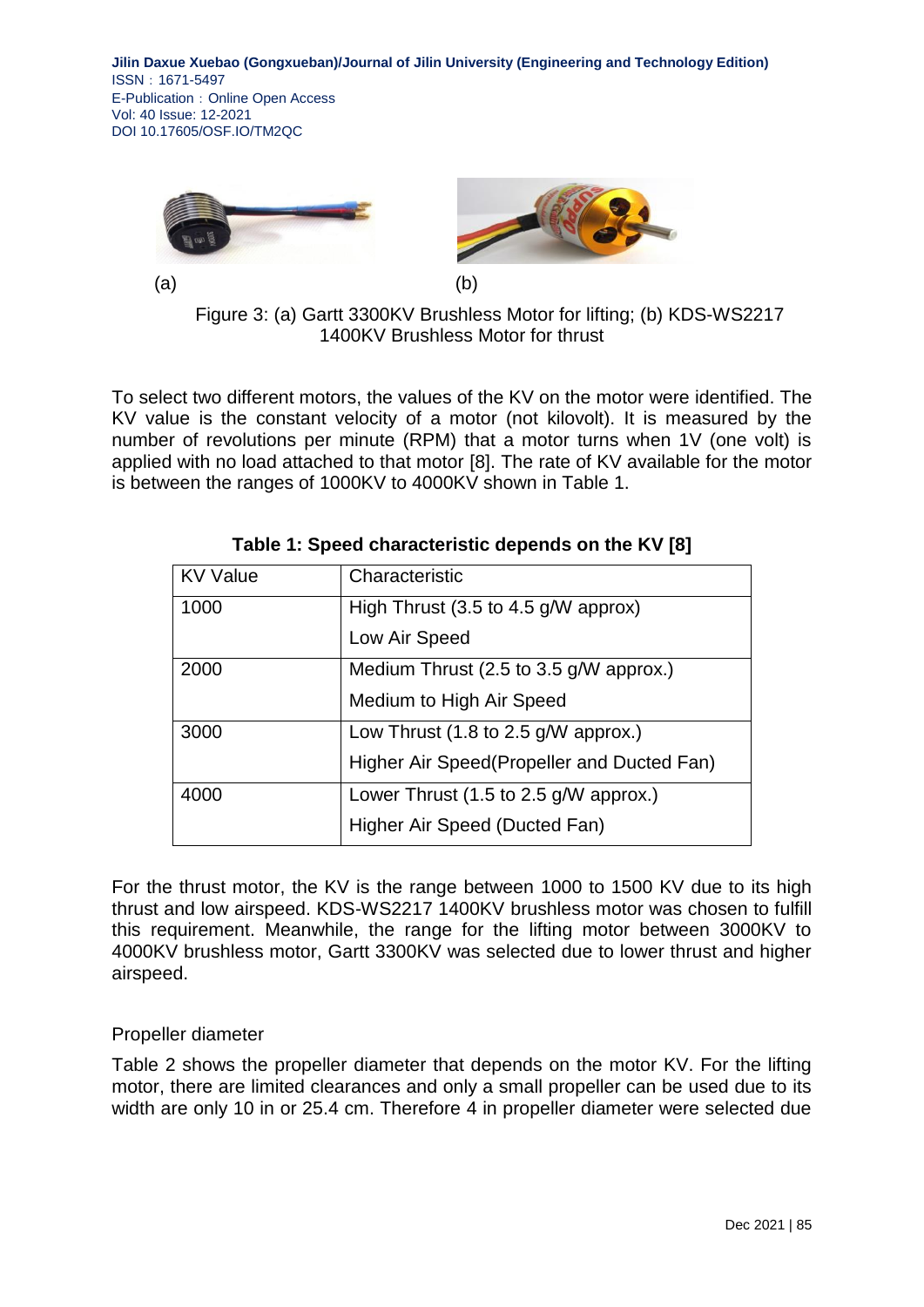

 $(a)$  (b)



Figure 3: (a) Gartt 3300KV Brushless Motor for lifting; (b) KDS-WS2217 1400KV Brushless Motor for thrust

To select two different motors, the values of the KV on the motor were identified. The KV value is the constant velocity of a motor (not kilovolt). It is measured by the number of revolutions per minute (RPM) that a motor turns when 1V (one volt) is applied with no load attached to that motor [8]. The rate of KV available for the motor is between the ranges of 1000KV to 4000KV shown in Table 1.

| <b>KV Value</b> | Characteristic                                           |
|-----------------|----------------------------------------------------------|
| 1000            | High Thrust $(3.5 \text{ to } 4.5 \text{ g/W}$ approx)   |
|                 | Low Air Speed                                            |
| 2000            | Medium Thrust (2.5 to 3.5 g/W approx.)                   |
|                 | Medium to High Air Speed                                 |
| 3000            | Low Thrust (1.8 to 2.5 g/W approx.)                      |
|                 | Higher Air Speed(Propeller and Ducted Fan)               |
| 4000            | Lower Thrust $(1.5 \text{ to } 2.5 \text{ g/W}$ approx.) |
|                 | Higher Air Speed (Ducted Fan)                            |

|  | Table 1: Speed characteristic depends on the KV [8] |  |  |  |
|--|-----------------------------------------------------|--|--|--|
|  |                                                     |  |  |  |

For the thrust motor, the KV is the range between 1000 to 1500 KV due to its high thrust and low airspeed. KDS-WS2217 1400KV brushless motor was chosen to fulfill this requirement. Meanwhile, the range for the lifting motor between 3000KV to 4000KV brushless motor, Gartt 3300KV was selected due to lower thrust and higher airspeed.

# Propeller diameter

Table 2 shows the propeller diameter that depends on the motor KV. For the lifting motor, there are limited clearances and only a small propeller can be used due to its width are only 10 in or 25.4 cm. Therefore 4 in propeller diameter were selected due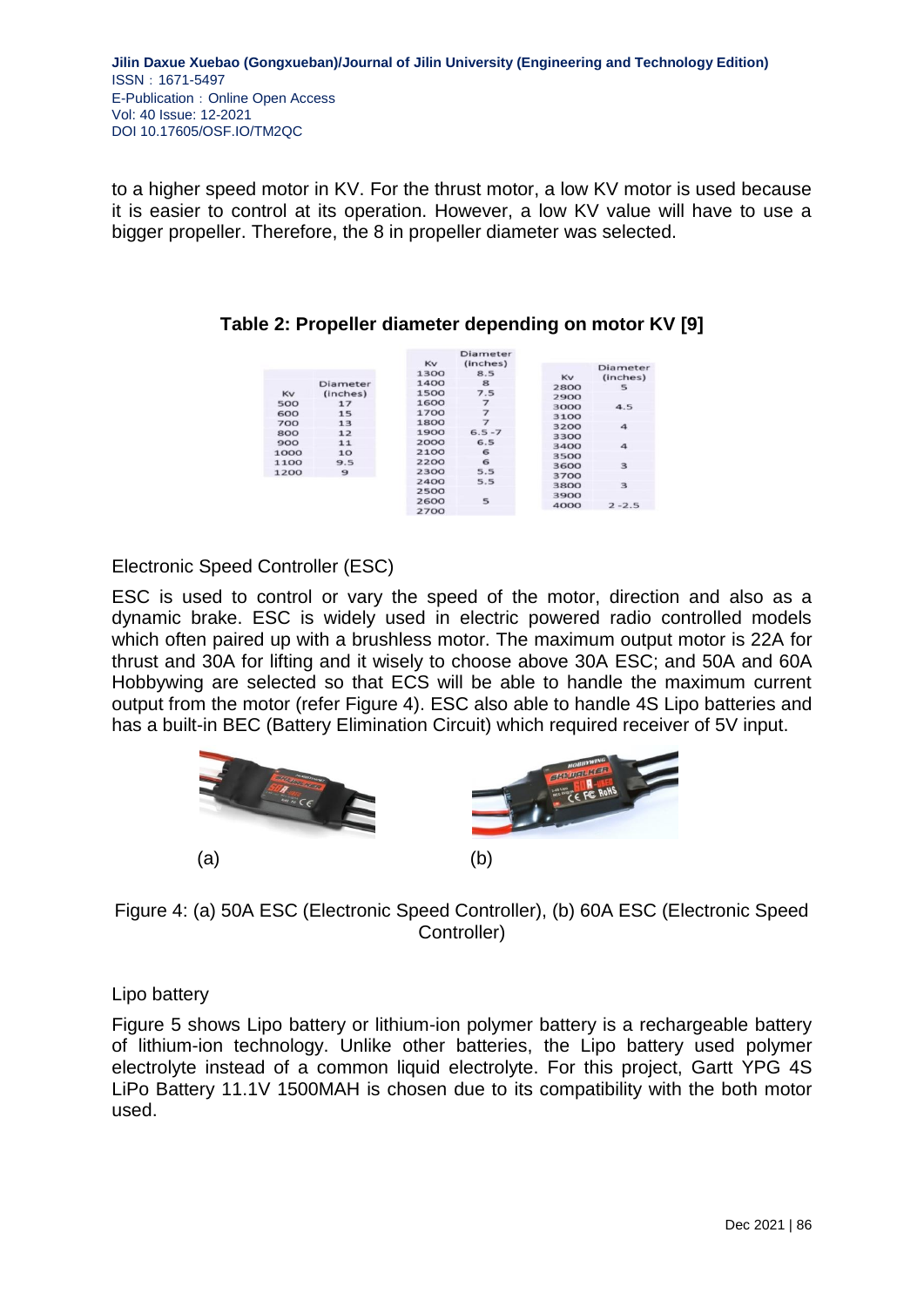to a higher speed motor in KV. For the thrust motor, a low KV motor is used because it is easier to control at its operation. However, a low KV value will have to use a bigger propeller. Therefore, the 8 in propeller diameter was selected.

Diameter  $Kv$ (inches) Diameter  $1300$  $85$  $Kv$  $(inches)$ Diameter  $1400$ ີຊ 2800  $\frac{1}{5}$ 1400<br>1500<br>1600  $7.5$ KV 2900<br>3000 (inches) 500  $17$  $\overline{z}$  $4<sup>5</sup>$ 600<br>700  $15$ 1700  $\overline{z}$ 3100 1700<br>1800<br>1900  $\frac{1}{13}$ 3200<br>3200<br>3300<br>3400  $\overline{a}$  $6.5 - 7$ 800  $12$ 900  $11$ 2000 6.5  $\overline{a}$ 1000<br>1100  $10$ <br>9.5 2100  $\overline{6}$ 3500 2200<br>2300  $\epsilon$ 3600<br>3700  $\overline{a}$  $5.5$  $\overline{9}$ 1200 2400  $5.5$  $\overline{\mathbf{3}}$ 3800 2500 3900 2500<br>2600<br>2700  $\overline{\phantom{a}}$ 4000  $2 - 2.5$ 

**Table 2: Propeller diameter depending on motor KV [9]**

# Electronic Speed Controller (ESC)

ESC is used to control or vary the speed of the motor, direction and also as a dynamic brake. ESC is widely used in electric powered radio controlled models which often paired up with a brushless motor. The maximum output motor is 22A for thrust and 30A for lifting and it wisely to choose above 30A ESC; and 50A and 60A Hobbywing are selected so that ECS will be able to handle the maximum current output from the motor (refer Figure 4). ESC also able to handle 4S Lipo batteries and has a built-in BEC (Battery Elimination Circuit) which required receiver of 5V input.



# Figure 4: (a) 50A ESC (Electronic Speed Controller), (b) 60A ESC (Electronic Speed Controller)

## Lipo battery

Figure 5 shows Lipo battery or lithium-ion polymer battery is a rechargeable battery of lithium-ion technology. Unlike other batteries, the Lipo battery used polymer electrolyte instead of a common liquid electrolyte. For this project, Gartt YPG 4S LiPo Battery 11.1V 1500MAH is chosen due to its compatibility with the both motor used.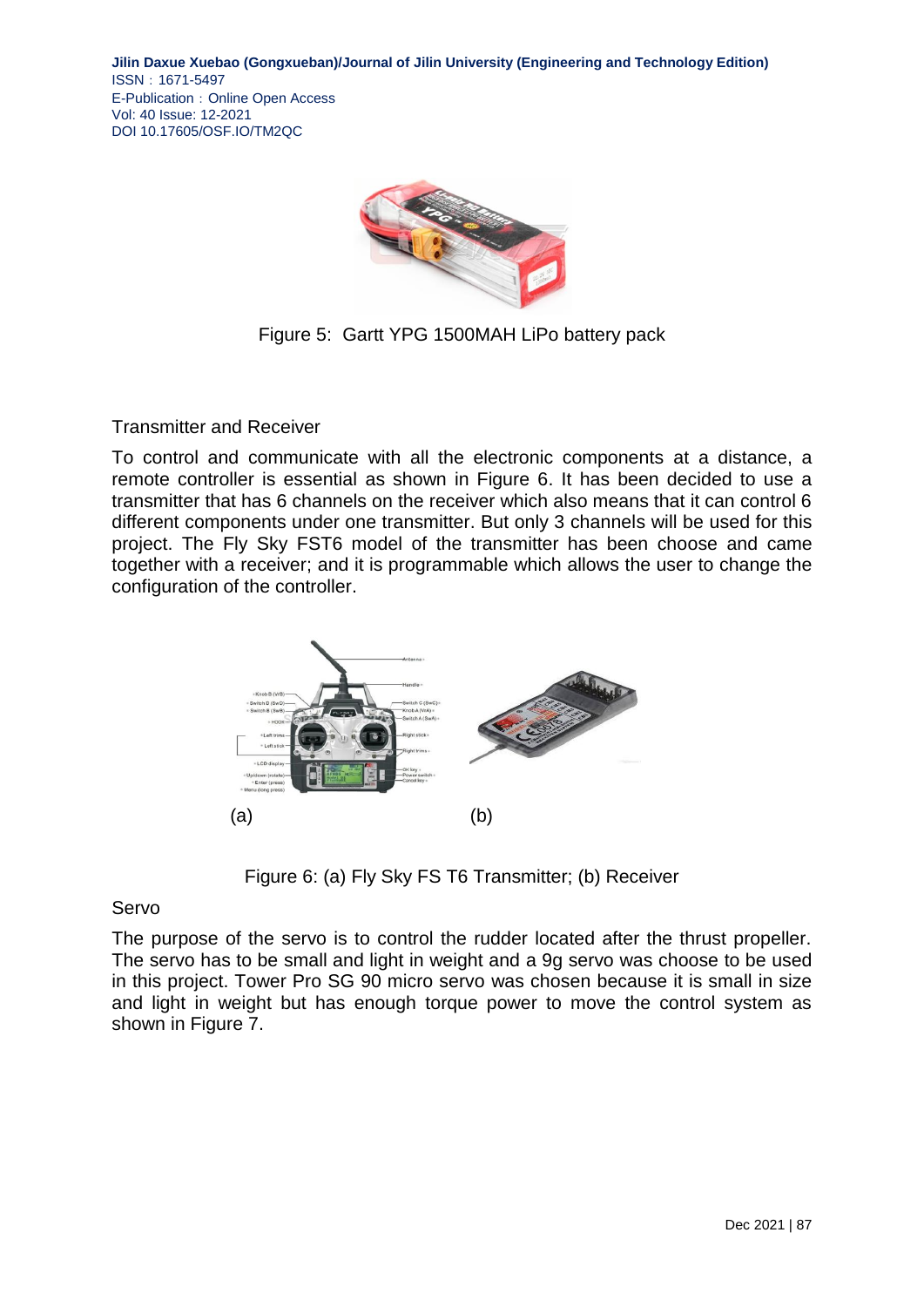

Figure 5: Gartt YPG 1500MAH LiPo battery pack

Transmitter and Receiver

To control and communicate with all the electronic components at a distance, a remote controller is essential as shown in Figure 6. It has been decided to use a transmitter that has 6 channels on the receiver which also means that it can control 6 different components under one transmitter. But only 3 channels will be used for this project. The Fly Sky FST6 model of the transmitter has been choose and came together with a receiver; and it is programmable which allows the user to change the configuration of the controller.



Figure 6: (a) Fly Sky FS T6 Transmitter; (b) Receiver

### Servo

The purpose of the servo is to control the rudder located after the thrust propeller. The servo has to be small and light in weight and a 9g servo was choose to be used in this project. Tower Pro SG 90 micro servo was chosen because it is small in size and light in weight but has enough torque power to move the control system as shown in Figure 7.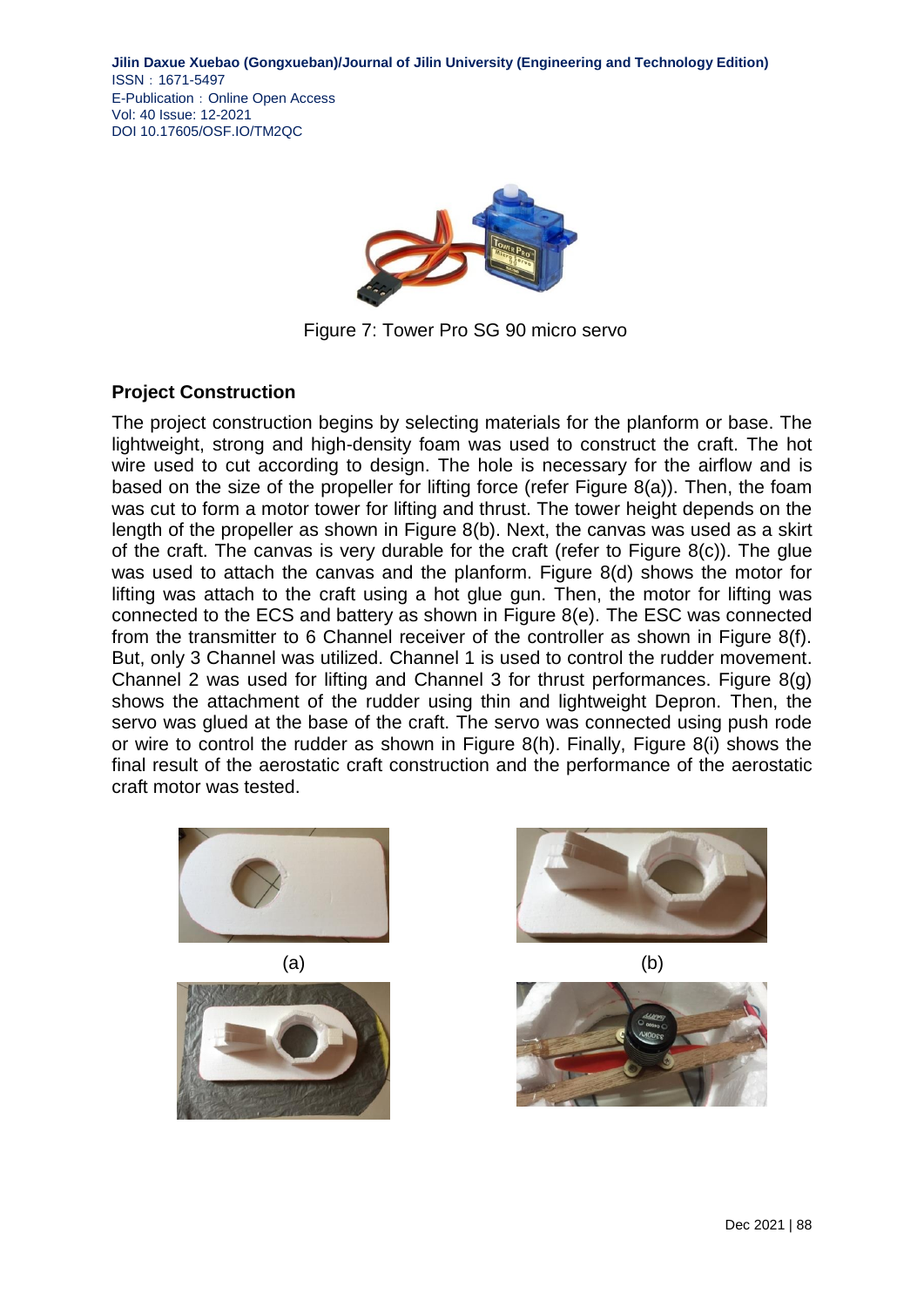

Figure 7: Tower Pro SG 90 micro servo

## **Project Construction**

The project construction begins by selecting materials for the planform or base. The lightweight, strong and high-density foam was used to construct the craft. The hot wire used to cut according to design. The hole is necessary for the airflow and is based on the size of the propeller for lifting force (refer Figure 8(a)). Then, the foam was cut to form a motor tower for lifting and thrust. The tower height depends on the length of the propeller as shown in Figure 8(b). Next, the canvas was used as a skirt of the craft. The canvas is very durable for the craft (refer to Figure 8(c)). The glue was used to attach the canvas and the planform. Figure 8(d) shows the motor for lifting was attach to the craft using a hot glue gun. Then, the motor for lifting was connected to the ECS and battery as shown in Figure 8(e). The ESC was connected from the transmitter to 6 Channel receiver of the controller as shown in Figure 8(f). But, only 3 Channel was utilized. Channel 1 is used to control the rudder movement. Channel 2 was used for lifting and Channel 3 for thrust performances. Figure 8(g) shows the attachment of the rudder using thin and lightweight Depron. Then, the servo was glued at the base of the craft. The servo was connected using push rode or wire to control the rudder as shown in Figure 8(h). Finally, Figure 8(i) shows the final result of the aerostatic craft construction and the performance of the aerostatic craft motor was tested.











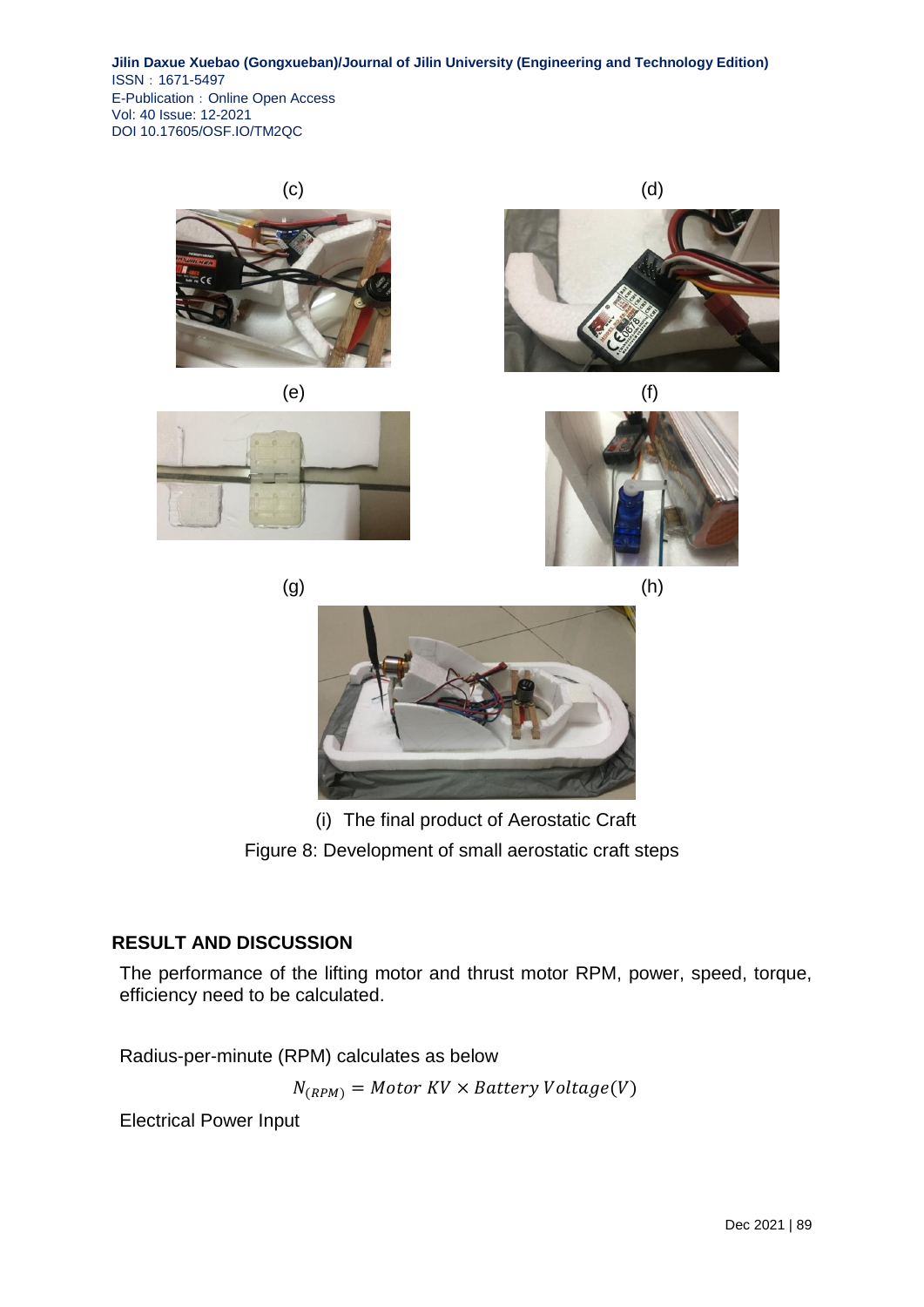













(i) The final product of Aerostatic Craft Figure 8: Development of small aerostatic craft steps

# **RESULT AND DISCUSSION**

The performance of the lifting motor and thrust motor RPM, power, speed, torque, efficiency need to be calculated.

Radius-per-minute (RPM) calculates as below

 $N_{(RPM)}$  = Motor KV  $\times$  Battery Voltage(V)

Electrical Power Input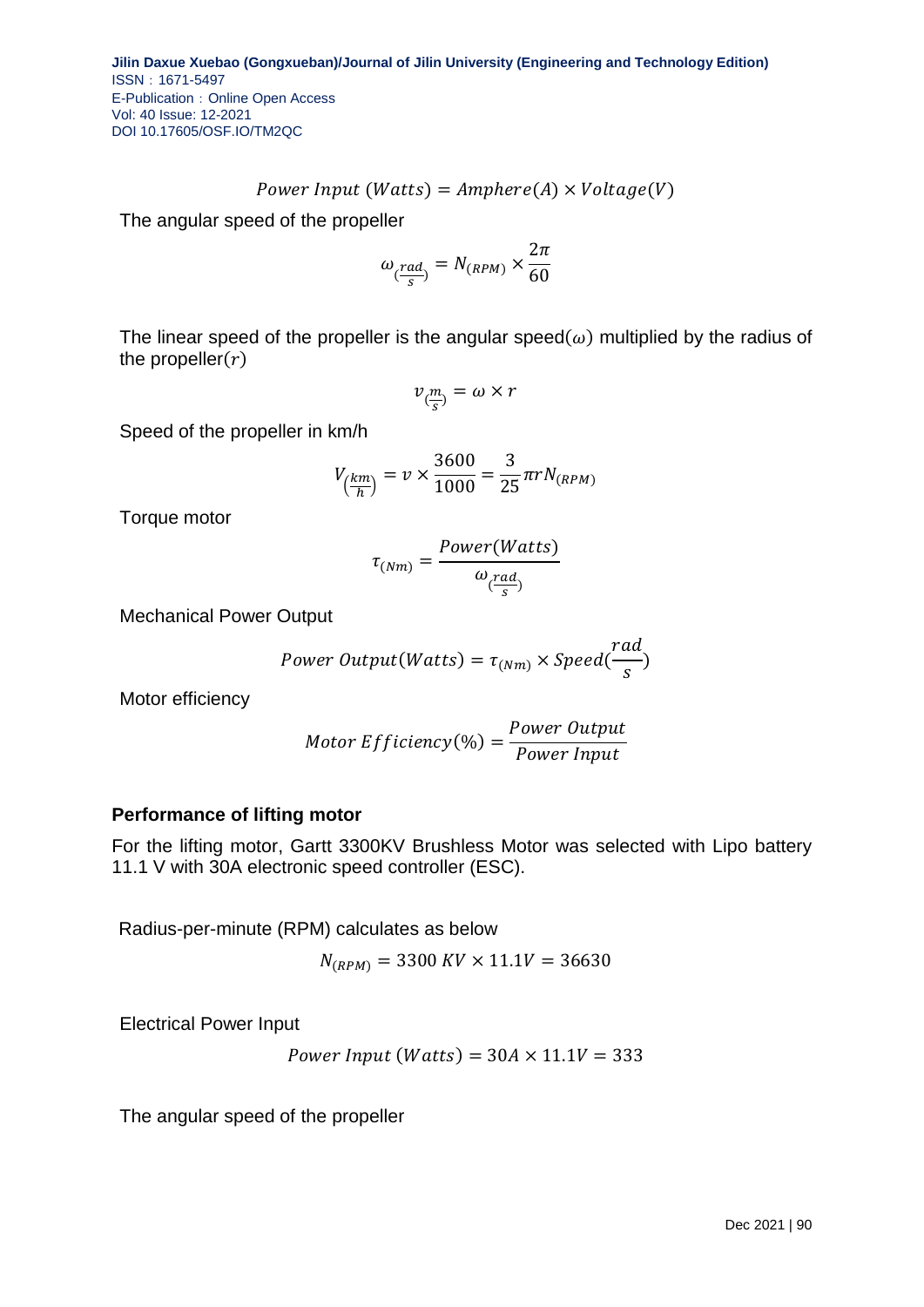$$
Power\ Input\ (Watts) = Amphere(A) \times Voltage(V)
$$

The angular speed of the propeller

$$
\omega_{\left(\frac{rad}{s}\right)} = N_{(RPM)} \times \frac{2\pi}{60}
$$

The linear speed of the propeller is the angular speed  $(\omega)$  multiplied by the radius of the propeller $(r)$ 

$$
v_{(\frac{m}{s})} = \omega \times r
$$

Speed of the propeller in km/h

$$
V_{\left(\frac{km}{h}\right)} = v \times \frac{3600}{1000} = \frac{3}{25} \pi r N_{(RPM)}
$$

Torque motor

$$
\tau_{(Nm)} = \frac{Power(Watts)}{\omega_{(\frac{rad}{s})}}
$$

Mechanical Power Output

$$
Power\ Output(Watts) = \tau_{(Nm)} \times Speed(\frac{rad}{s})
$$

Motor efficiency

*Motor Efficiency*(%) = 
$$
\frac{Power Output}{Power Input}
$$

#### **Performance of lifting motor**

For the lifting motor, Gartt 3300KV Brushless Motor was selected with Lipo battery 11.1 V with 30A electronic speed controller (ESC).

Radius-per-minute (RPM) calculates as below

$$
N_{(RPM)} = 3300 \, KV \times 11.1V = 36630
$$

Electrical Power Input

$$
Power\ Input\ (Watts) = 30A \times 11.1V = 333
$$

The angular speed of the propeller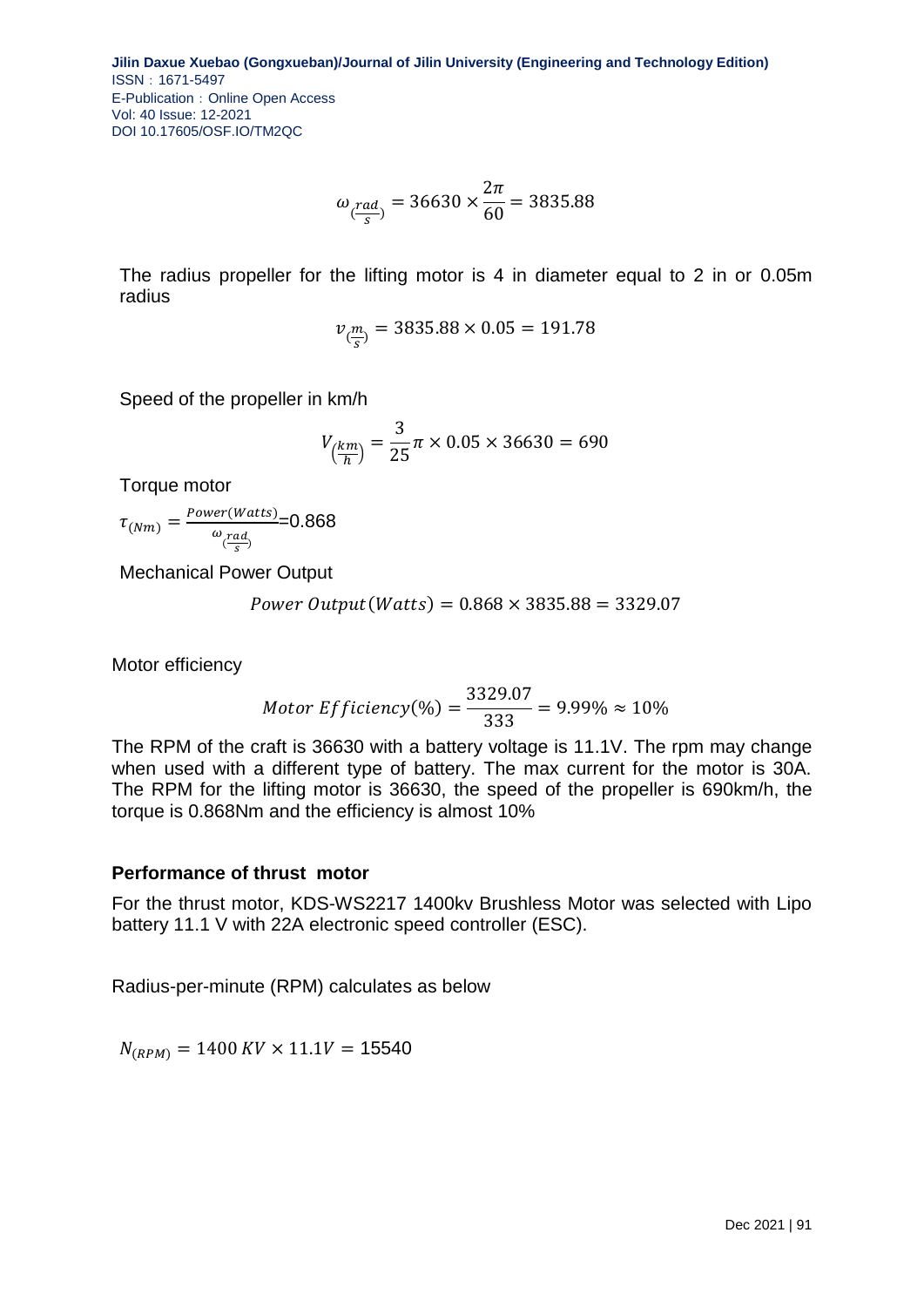$$
\omega_{\left(\frac{rad}{s}\right)} = 36630 \times \frac{2\pi}{60} = 3835.88
$$

The radius propeller for the lifting motor is 4 in diameter equal to 2 in or 0.05m radius

$$
v_{(\frac{m}{s})} = 3835.88 \times 0.05 = 191.78
$$

Speed of the propeller in km/h

$$
V_{\left(\frac{km}{h}\right)} = \frac{3}{25}\pi \times 0.05 \times 36630 = 690
$$

Torque motor

 $\tau$ <sub>(Nm)</sub> =  $\frac{P}{A}$  $\omega_{\left(\frac{rad}{s}\right)}$ =0.868

Mechanical Power Output

Power Output (Watts) =  $0.868 \times 3835.88 = 3329.07$ 

Motor efficiency

*Motor Efficiency*(%) = 
$$
\frac{3329.07}{333}
$$
 = 9.99%  $\approx 10\%$ 

The RPM of the craft is 36630 with a battery voltage is 11.1V. The rpm may change when used with a different type of battery. The max current for the motor is 30A. The RPM for the lifting motor is 36630, the speed of the propeller is 690km/h, the torque is 0.868Nm and the efficiency is almost 10%

## **Performance of thrust motor**

For the thrust motor, KDS-WS2217 1400kv Brushless Motor was selected with Lipo battery 11.1 V with 22A electronic speed controller (ESC).

Radius-per-minute (RPM) calculates as below

 $N_{(RPM)} = 1400 \, KV \times 11.1V = 15540$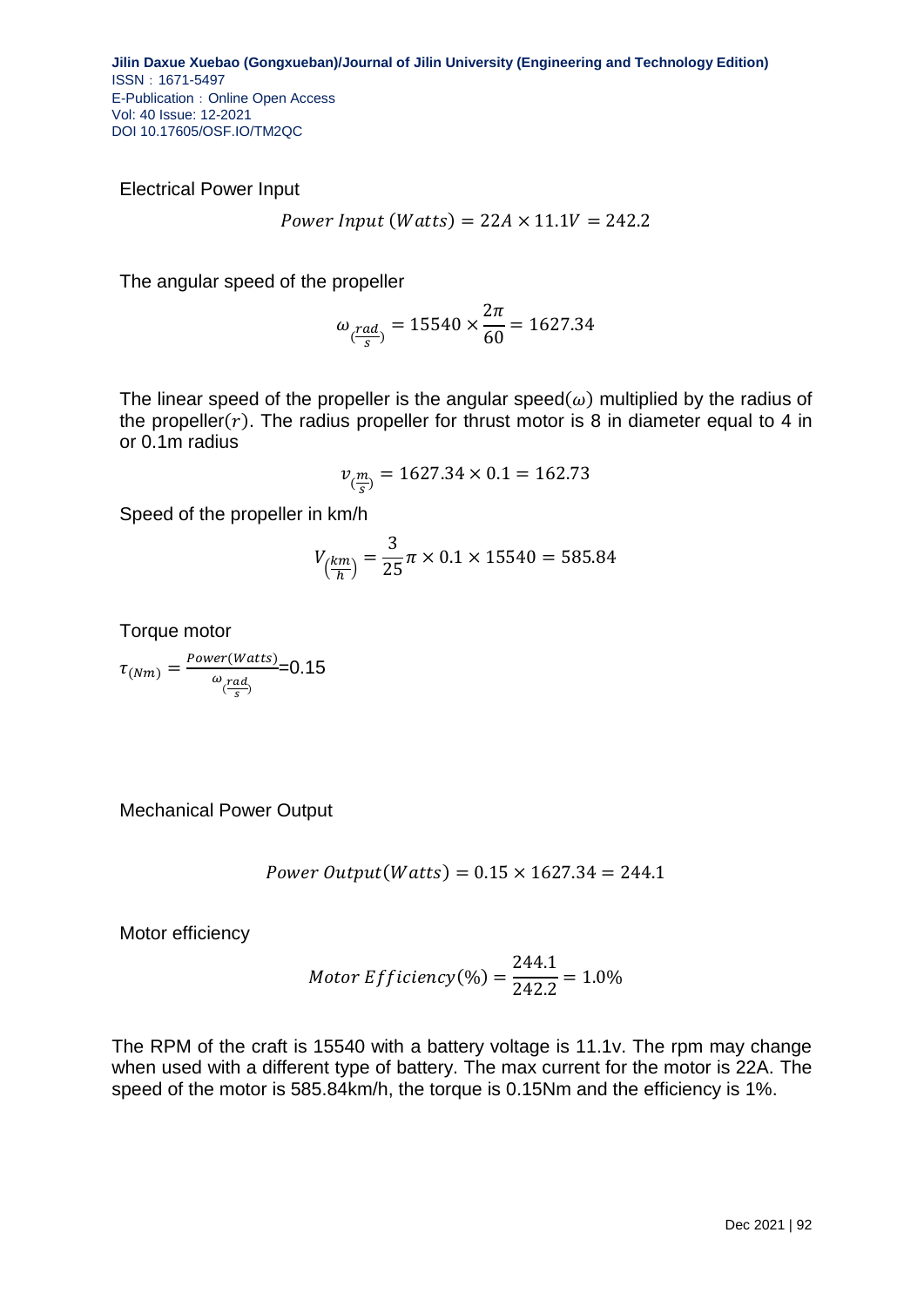Electrical Power Input

*Power Input (Watts)* = 
$$
22A \times 11.1V = 242.2
$$

The angular speed of the propeller

$$
\omega_{\frac{rad}{s}} = 15540 \times \frac{2\pi}{60} = 1627.34
$$

The linear speed of the propeller is the angular speed  $(\omega)$  multiplied by the radius of the propeller $(r)$ . The radius propeller for thrust motor is 8 in diameter equal to 4 in or 0.1m radius

$$
v_{(\frac{m}{s})} = 1627.34 \times 0.1 = 162.73
$$

Speed of the propeller in km/h

$$
V_{\left(\frac{km}{h}\right)} = \frac{3}{25}\pi \times 0.1 \times 15540 = 585.84
$$

Torque motor

$$
\tau_{(Nm)} = \frac{Power(Watts)}{\omega_{\frac{rad}{s}}}=0.15
$$

Mechanical Power Output

*Power Output(Watts)* = 
$$
0.15 \times 1627.34 = 244.1
$$

Motor efficiency

*Motor Efficiency*(%) = 
$$
\frac{244.1}{242.2}
$$
 = 1.0%

The RPM of the craft is 15540 with a battery voltage is 11.1v. The rpm may change when used with a different type of battery. The max current for the motor is 22A. The speed of the motor is 585.84km/h, the torque is 0.15Nm and the efficiency is 1%.